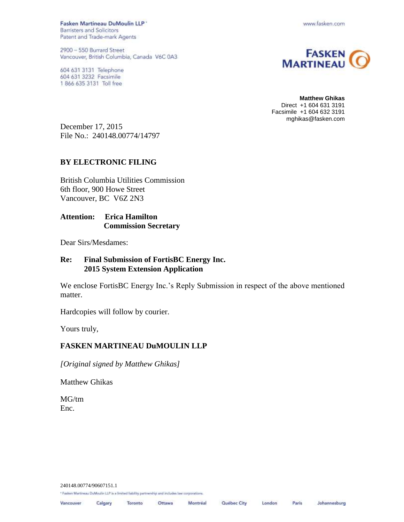Fasken Martineau DuMoulin LLP \* **Barristers and Solicitors** Patent and Trade-mark Agents

2900 - 550 Burrard Street Vancouver, British Columbia, Canada V6C 0A3

604 631 3131 Telephone 604 631 3232 Facsimile 1 866 635 3131 Toll free

www.fasken.com



**Matthew Ghikas** Direct +1 604 631 3191 Facsimile +1 604 632 3191 mghikas@fasken.com

December 17, 2015 File No.: 240148.00774/14797

## **BY ELECTRONIC FILING**

British Columbia Utilities Commission 6th floor, 900 Howe Street Vancouver, BC V6Z 2N3

## **Attention: Erica Hamilton Commission Secretary**

Dear Sirs/Mesdames:

## **Re: Final Submission of FortisBC Energy Inc. 2015 System Extension Application**

We enclose FortisBC Energy Inc.'s Reply Submission in respect of the above mentioned matter.

Hardcopies will follow by courier.

Yours truly,

## **FASKEN MARTINEAU DuMOULIN LLP**

*[Original signed by Matthew Ghikas]*

Matthew Ghikas

MG/tm Enc.

240148.00774/90607151.1

\* Fasken Martineau DuMoulin LLP is a limited liability partnership and includes law corporations.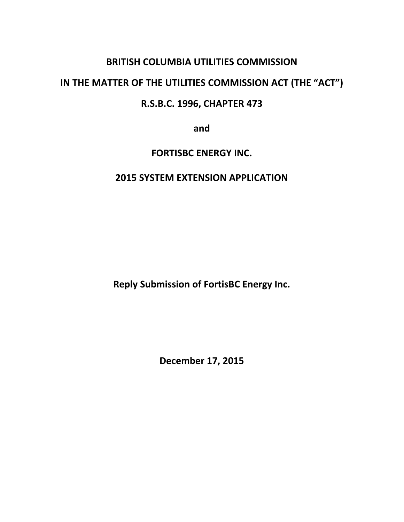# **BRITISH COLUMBIA UTILITIES COMMISSION**

# **IN THE MATTER OF THE UTILITIES COMMISSION ACT (THE "ACT")**

# **R.S.B.C. 1996, CHAPTER 473**

**and**

## **FORTISBC ENERGY INC.**

## **2015 SYSTEM EXTENSION APPLICATION**

**Reply Submission of FortisBC Energy Inc.**

**December 17, 2015**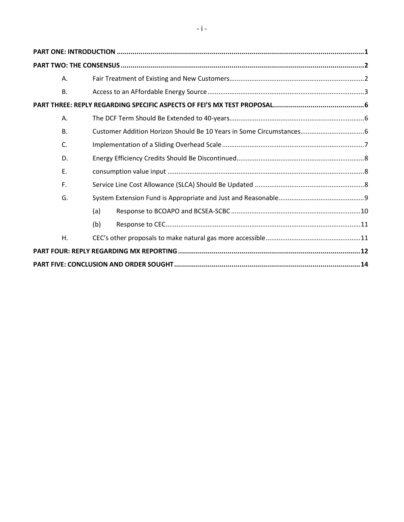| Α.        |     |  |
|-----------|-----|--|
| <b>B.</b> |     |  |
|           |     |  |
| Α.        |     |  |
| <b>B.</b> |     |  |
| C.        |     |  |
| D.        |     |  |
| E.        |     |  |
| F.        |     |  |
| G.        |     |  |
|           | (a) |  |
|           | (b) |  |
| Η.        |     |  |
|           |     |  |
|           |     |  |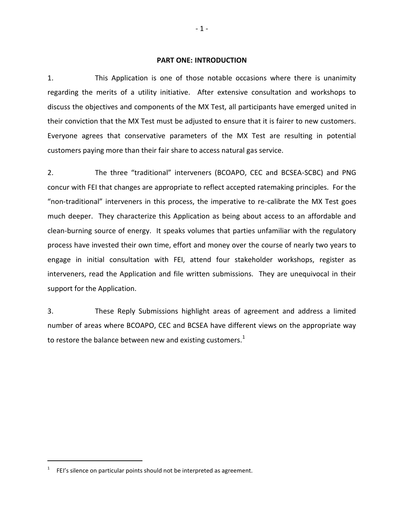#### **PART ONE: INTRODUCTION**

<span id="page-3-0"></span>1. This Application is one of those notable occasions where there is unanimity regarding the merits of a utility initiative. After extensive consultation and workshops to discuss the objectives and components of the MX Test, all participants have emerged united in their conviction that the MX Test must be adjusted to ensure that it is fairer to new customers. Everyone agrees that conservative parameters of the MX Test are resulting in potential customers paying more than their fair share to access natural gas service.

2. The three "traditional" interveners (BCOAPO, CEC and BCSEA-SCBC) and PNG concur with FEI that changes are appropriate to reflect accepted ratemaking principles. For the "non-traditional" interveners in this process, the imperative to re-calibrate the MX Test goes much deeper. They characterize this Application as being about access to an affordable and clean-burning source of energy. It speaks volumes that parties unfamiliar with the regulatory process have invested their own time, effort and money over the course of nearly two years to engage in initial consultation with FEI, attend four stakeholder workshops, register as interveners, read the Application and file written submissions. They are unequivocal in their support for the Application.

3. These Reply Submissions highlight areas of agreement and address a limited number of areas where BCOAPO, CEC and BCSEA have different views on the appropriate way to restore the balance between new and existing customers.<sup>1</sup>

<sup>&</sup>lt;sup>1</sup> FEI's silence on particular points should not be interpreted as agreement.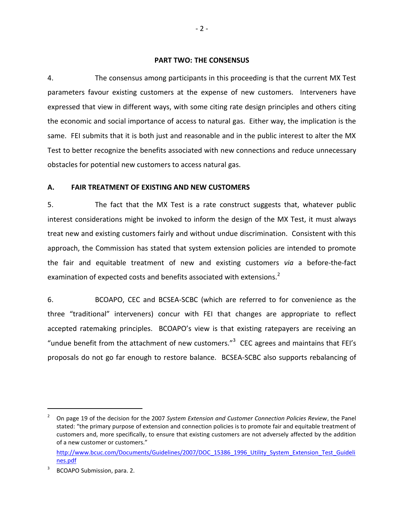#### **PART TWO: THE CONSENSUS**

<span id="page-4-0"></span>4. The consensus among participants in this proceeding is that the current MX Test parameters favour existing customers at the expense of new customers. Interveners have expressed that view in different ways, with some citing rate design principles and others citing the economic and social importance of access to natural gas. Either way, the implication is the same. FEI submits that it is both just and reasonable and in the public interest to alter the MX Test to better recognize the benefits associated with new connections and reduce unnecessary obstacles for potential new customers to access natural gas.

## <span id="page-4-1"></span>**A. FAIR TREATMENT OF EXISTING AND NEW CUSTOMERS**

5. The fact that the MX Test is a rate construct suggests that, whatever public interest considerations might be invoked to inform the design of the MX Test, it must always treat new and existing customers fairly and without undue discrimination. Consistent with this approach, the Commission has stated that system extension policies are intended to promote the fair and equitable treatment of new and existing customers *via* a before-the-fact examination of expected costs and benefits associated with extensions.<sup>2</sup>

6. BCOAPO, CEC and BCSEA-SCBC (which are referred to for convenience as the three "traditional" interveners) concur with FEI that changes are appropriate to reflect accepted ratemaking principles. BCOAPO's view is that existing ratepayers are receiving an "undue benefit from the attachment of new customers." $3$  CEC agrees and maintains that FEI's proposals do not go far enough to restore balance. BCSEA-SCBC also supports rebalancing of

<sup>2</sup> On page 19 of the decision for the 2007 *System Extension and Customer Connection Policies Review*, the Panel stated: "the primary purpose of extension and connection policies is to promote fair and equitable treatment of customers and, more specifically, to ensure that existing customers are not adversely affected by the addition of a new customer or customers." [http://www.bcuc.com/Documents/Guidelines/2007/DOC\\_15386\\_1996\\_Utility\\_System\\_Extension\\_Test\\_Guideli](http://www.bcuc.com/Documents/Guidelines/2007/DOC_15386_1996_Utility_System_Extension_Test_Guidelines.pdf)

[nes.pdf](http://www.bcuc.com/Documents/Guidelines/2007/DOC_15386_1996_Utility_System_Extension_Test_Guidelines.pdf)

<sup>3</sup> BCOAPO Submission, para. 2.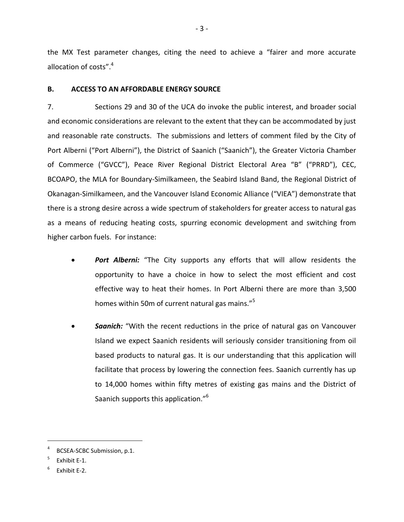the MX Test parameter changes, citing the need to achieve a "fairer and more accurate allocation of costs".<sup>4</sup>

## <span id="page-5-0"></span>**B. ACCESS TO AN AFFORDABLE ENERGY SOURCE**

7. Sections 29 and 30 of the UCA do invoke the public interest, and broader social and economic considerations are relevant to the extent that they can be accommodated by just and reasonable rate constructs. The submissions and letters of comment filed by the City of Port Alberni ("Port Alberni"), the District of Saanich ("Saanich"), the Greater Victoria Chamber of Commerce ("GVCC"), Peace River Regional District Electoral Area "B" ("PRRD"), CEC, BCOAPO, the MLA for Boundary-Similkameen, the Seabird Island Band, the Regional District of Okanagan-Similkameen, and the Vancouver Island Economic Alliance ("VIEA") demonstrate that there is a strong desire across a wide spectrum of stakeholders for greater access to natural gas as a means of reducing heating costs, spurring economic development and switching from higher carbon fuels. For instance:

- *Port Alberni:* "The City supports any efforts that will allow residents the opportunity to have a choice in how to select the most efficient and cost effective way to heat their homes. In Port Alberni there are more than 3,500 homes within 50m of current natural gas mains."<sup>5</sup>
- **Saanich:** "With the recent reductions in the price of natural gas on Vancouver Island we expect Saanich residents will seriously consider transitioning from oil based products to natural gas. It is our understanding that this application will facilitate that process by lowering the connection fees. Saanich currently has up to 14,000 homes within fifty metres of existing gas mains and the District of Saanich supports this application."<sup>6</sup>

<sup>4</sup> BCSEA-SCBC Submission, p.1.

<sup>5</sup> Exhibit E-1.

<sup>6</sup> Exhibit E-2.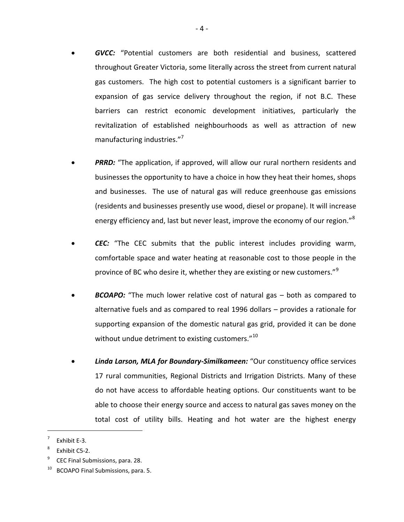- *GVCC:* "Potential customers are both residential and business, scattered throughout Greater Victoria, some literally across the street from current natural gas customers. The high cost to potential customers is a significant barrier to expansion of gas service delivery throughout the region, if not B.C. These barriers can restrict economic development initiatives, particularly the revitalization of established neighbourhoods as well as attraction of new manufacturing industries."<sup>7</sup>
- **PRRD:** "The application, if approved, will allow our rural northern residents and businesses the opportunity to have a choice in how they heat their homes, shops and businesses. The use of natural gas will reduce greenhouse gas emissions (residents and businesses presently use wood, diesel or propane). It will increase energy efficiency and, last but never least, improve the economy of our region."<sup>8</sup>
- *CEC:* "The CEC submits that the public interest includes providing warm, comfortable space and water heating at reasonable cost to those people in the province of BC who desire it, whether they are existing or new customers."<sup>9</sup>
- *BCOAPO:* "The much lower relative cost of natural gas both as compared to alternative fuels and as compared to real 1996 dollars – provides a rationale for supporting expansion of the domestic natural gas grid, provided it can be done without undue detriment to existing customers." $^{10}$
- *Linda Larson, MLA for Boundary-Similkameen:* "Our constituency office services 17 rural communities, Regional Districts and Irrigation Districts. Many of these do not have access to affordable heating options. Our constituents want to be able to choose their energy source and access to natural gas saves money on the total cost of utility bills. Heating and hot water are the highest energy

<sup>7</sup> Exhibit E-3.

<sup>8</sup> Exhibit C5-2.

<sup>9</sup> CEC Final Submissions, para. 28.

BCOAPO Final Submissions, para. 5.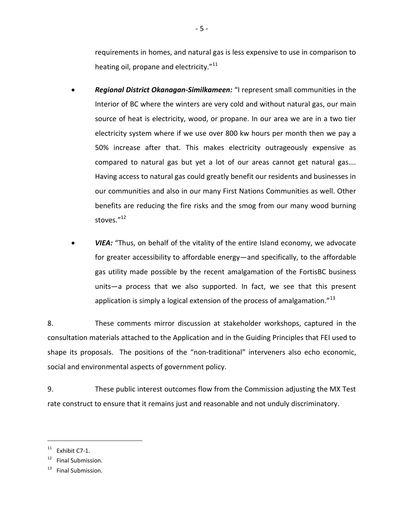requirements in homes, and natural gas is less expensive to use in comparison to heating oil, propane and electricity."<sup>11</sup>

- *Regional District Okanagan-Similkameen:* "I represent small communities in the Interior of BC where the winters are very cold and without natural gas, our main source of heat is electricity, wood, or propane. In our area we are in a two tier electricity system where if we use over 800 kw hours per month then we pay a 50% increase after that. This makes electricity outrageously expensive as compared to natural gas but yet a lot of our areas cannot get natural gas…. Having access to natural gas could greatly benefit our residents and businesses in our communities and also in our many First Nations Communities as well. Other benefits are reducing the fire risks and the smog from our many wood burning stoves."12
- *VIEA:* "Thus, on behalf of the vitality of the entire Island economy, we advocate for greater accessibility to affordable energy—and specifically, to the affordable gas utility made possible by the recent amalgamation of the FortisBC business units—a process that we also supported. In fact, we see that this present application is simply a logical extension of the process of amalgamation." $^{13}$

8. These comments mirror discussion at stakeholder workshops, captured in the consultation materials attached to the Application and in the Guiding Principles that FEI used to shape its proposals. The positions of the "non-traditional" interveners also echo economic, social and environmental aspects of government policy.

9. These public interest outcomes flow from the Commission adjusting the MX Test rate construct to ensure that it remains just and reasonable and not unduly discriminatory.

 $11$  Exhibit C7-1.

<sup>&</sup>lt;sup>12</sup> Final Submission.

 $13$  Final Submission.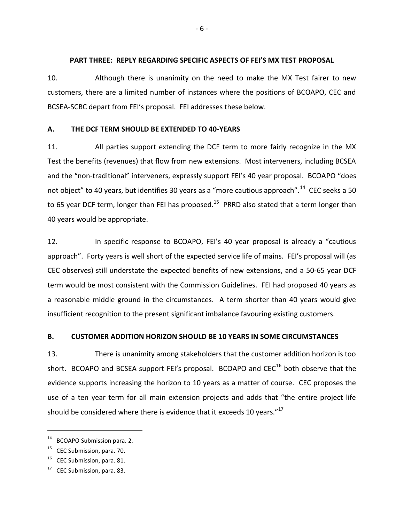### <span id="page-8-0"></span>**PART THREE: REPLY REGARDING SPECIFIC ASPECTS OF FEI'S MX TEST PROPOSAL**

10. Although there is unanimity on the need to make the MX Test fairer to new customers, there are a limited number of instances where the positions of BCOAPO, CEC and BCSEA-SCBC depart from FEI's proposal. FEI addresses these below.

## <span id="page-8-1"></span>**A. THE DCF TERM SHOULD BE EXTENDED TO 40-YEARS**

11. All parties support extending the DCF term to more fairly recognize in the MX Test the benefits (revenues) that flow from new extensions. Most interveners, including BCSEA and the "non-traditional" interveners, expressly support FEI's 40 year proposal. BCOAPO "does not object" to 40 years, but identifies 30 years as a "more cautious approach".<sup>14</sup> CEC seeks a 50 to 65 year DCF term, longer than FEI has proposed.<sup>15</sup> PRRD also stated that a term longer than 40 years would be appropriate.

12. In specific response to BCOAPO, FEI's 40 year proposal is already a "cautious approach". Forty years is well short of the expected service life of mains. FEI's proposal will (as CEC observes) still understate the expected benefits of new extensions, and a 50-65 year DCF term would be most consistent with the Commission Guidelines. FEI had proposed 40 years as a reasonable middle ground in the circumstances. A term shorter than 40 years would give insufficient recognition to the present significant imbalance favouring existing customers.

## <span id="page-8-2"></span>**B. CUSTOMER ADDITION HORIZON SHOULD BE 10 YEARS IN SOME CIRCUMSTANCES**

13. There is unanimity among stakeholders that the customer addition horizon is too short. BCOAPO and BCSEA support FEI's proposal. BCOAPO and  $CEC<sup>16</sup>$  both observe that the evidence supports increasing the horizon to 10 years as a matter of course. CEC proposes the use of a ten year term for all main extension projects and adds that "the entire project life should be considered where there is evidence that it exceeds 10 years. $17$ 

<sup>&</sup>lt;sup>14</sup> BCOAPO Submission para. 2.

<sup>&</sup>lt;sup>15</sup> CEC Submission, para. 70.

 $16$  CEC Submission, para. 81.

 $17$  CEC Submission, para. 83.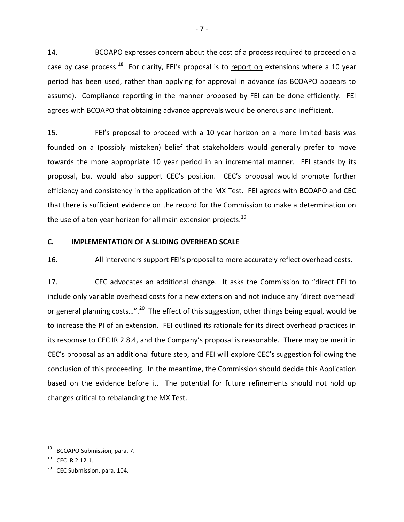14. BCOAPO expresses concern about the cost of a process required to proceed on a case by case process.<sup>18</sup> For clarity, FEI's proposal is to report on extensions where a 10 year period has been used, rather than applying for approval in advance (as BCOAPO appears to assume). Compliance reporting in the manner proposed by FEI can be done efficiently. FEI agrees with BCOAPO that obtaining advance approvals would be onerous and inefficient.

15. FEI's proposal to proceed with a 10 year horizon on a more limited basis was founded on a (possibly mistaken) belief that stakeholders would generally prefer to move towards the more appropriate 10 year period in an incremental manner. FEI stands by its proposal, but would also support CEC's position. CEC's proposal would promote further efficiency and consistency in the application of the MX Test. FEI agrees with BCOAPO and CEC that there is sufficient evidence on the record for the Commission to make a determination on the use of a ten year horizon for all main extension projects.<sup>19</sup>

#### <span id="page-9-0"></span>**C. IMPLEMENTATION OF A SLIDING OVERHEAD SCALE**

16. All interveners support FEI's proposal to more accurately reflect overhead costs.

17. CEC advocates an additional change. It asks the Commission to "direct FEI to include only variable overhead costs for a new extension and not include any 'direct overhead' or general planning costs...".<sup>20</sup> The effect of this suggestion, other things being equal, would be to increase the PI of an extension. FEI outlined its rationale for its direct overhead practices in its response to CEC IR 2.8.4, and the Company's proposal is reasonable. There may be merit in CEC's proposal as an additional future step, and FEI will explore CEC's suggestion following the conclusion of this proceeding. In the meantime, the Commission should decide this Application based on the evidence before it. The potential for future refinements should not hold up changes critical to rebalancing the MX Test.

<sup>18</sup> BCOAPO Submission, para. 7.

 $19$  CEC IR 2.12.1.

 $20$  CEC Submission, para. 104.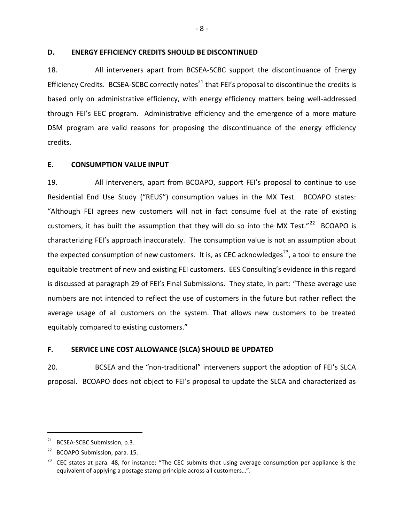### <span id="page-10-0"></span>**D. ENERGY EFFICIENCY CREDITS SHOULD BE DISCONTINUED**

18. All interveners apart from BCSEA-SCBC support the discontinuance of Energy Efficiency Credits. BCSEA-SCBC correctly notes<sup>21</sup> that FEI's proposal to discontinue the credits is based only on administrative efficiency, with energy efficiency matters being well-addressed through FEI's EEC program. Administrative efficiency and the emergence of a more mature DSM program are valid reasons for proposing the discontinuance of the energy efficiency credits.

## <span id="page-10-1"></span>**E. CONSUMPTION VALUE INPUT**

19. All interveners, apart from BCOAPO, support FEI's proposal to continue to use Residential End Use Study ("REUS") consumption values in the MX Test. BCOAPO states: "Although FEI agrees new customers will not in fact consume fuel at the rate of existing customers, it has built the assumption that they will do so into the MX Test."<sup>22</sup> BCOAPO is characterizing FEI's approach inaccurately. The consumption value is not an assumption about the expected consumption of new customers. It is, as CEC acknowledges<sup>23</sup>, a tool to ensure the equitable treatment of new and existing FEI customers. EES Consulting's evidence in this regard is discussed at paragraph 29 of FEI's Final Submissions. They state, in part: "These average use numbers are not intended to reflect the use of customers in the future but rather reflect the average usage of all customers on the system. That allows new customers to be treated equitably compared to existing customers."

## <span id="page-10-2"></span>**F. SERVICE LINE COST ALLOWANCE (SLCA) SHOULD BE UPDATED**

20. BCSEA and the "non-traditional" interveners support the adoption of FEI's SLCA proposal. BCOAPO does not object to FEI's proposal to update the SLCA and characterized as

<sup>&</sup>lt;sup>21</sup> BCSEA-SCBC Submission, p.3.

BCOAPO Submission, para. 15.

 $23$  CEC states at para. 48, for instance: "The CEC submits that using average consumption per appliance is the equivalent of applying a postage stamp principle across all customers…".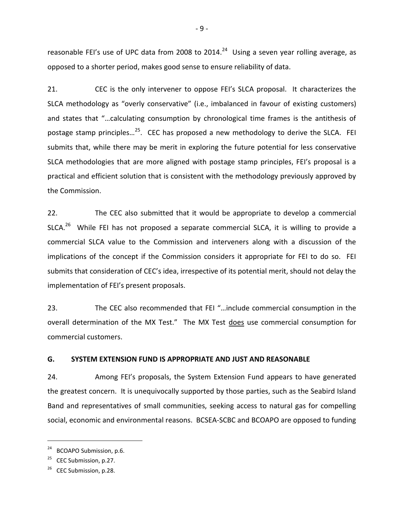reasonable FEI's use of UPC data from 2008 to 2014.<sup>24</sup> Using a seven year rolling average, as opposed to a shorter period, makes good sense to ensure reliability of data.

21. CEC is the only intervener to oppose FEI's SLCA proposal. It characterizes the SLCA methodology as "overly conservative" (i.e., imbalanced in favour of existing customers) and states that "…calculating consumption by chronological time frames is the antithesis of postage stamp principles...<sup>25</sup>. CEC has proposed a new methodology to derive the SLCA. FEI submits that, while there may be merit in exploring the future potential for less conservative SLCA methodologies that are more aligned with postage stamp principles, FEI's proposal is a practical and efficient solution that is consistent with the methodology previously approved by the Commission.

22. The CEC also submitted that it would be appropriate to develop a commercial SLCA.<sup>26</sup> While FEI has not proposed a separate commercial SLCA, it is willing to provide a commercial SLCA value to the Commission and interveners along with a discussion of the implications of the concept if the Commission considers it appropriate for FEI to do so. FEI submits that consideration of CEC's idea, irrespective of its potential merit, should not delay the implementation of FEI's present proposals.

23. The CEC also recommended that FEI "…include commercial consumption in the overall determination of the MX Test." The MX Test does use commercial consumption for commercial customers.

#### <span id="page-11-0"></span>**G. SYSTEM EXTENSION FUND IS APPROPRIATE AND JUST AND REASONABLE**

24. Among FEI's proposals, the System Extension Fund appears to have generated the greatest concern. It is unequivocally supported by those parties, such as the Seabird Island Band and representatives of small communities, seeking access to natural gas for compelling social, economic and environmental reasons. BCSEA-SCBC and BCOAPO are opposed to funding

<sup>&</sup>lt;sup>24</sup> BCOAPO Submission, p.6.

 $25$  CEC Submission, p.27.

 $26$  CEC Submission, p.28.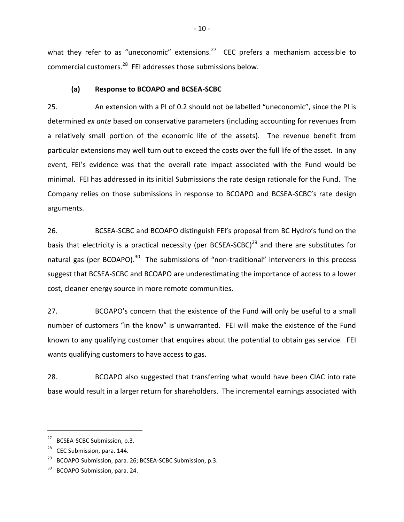what they refer to as "uneconomic" extensions. $^{27}$  CEC prefers a mechanism accessible to commercial customers.<sup>28</sup> FEI addresses those submissions below.

## **(a) Response to BCOAPO and BCSEA-SCBC**

<span id="page-12-0"></span>25. An extension with a PI of 0.2 should not be labelled "uneconomic", since the PI is determined *ex ante* based on conservative parameters (including accounting for revenues from a relatively small portion of the economic life of the assets). The revenue benefit from particular extensions may well turn out to exceed the costs over the full life of the asset. In any event, FEI's evidence was that the overall rate impact associated with the Fund would be minimal. FEI has addressed in its initial Submissions the rate design rationale for the Fund. The Company relies on those submissions in response to BCOAPO and BCSEA-SCBC's rate design arguments.

26. BCSEA-SCBC and BCOAPO distinguish FEI's proposal from BC Hydro's fund on the basis that electricity is a practical necessity (per BCSEA-SCBC)<sup>29</sup> and there are substitutes for natural gas (per BCOAPO).<sup>30</sup> The submissions of "non-traditional" interveners in this process suggest that BCSEA-SCBC and BCOAPO are underestimating the importance of access to a lower cost, cleaner energy source in more remote communities.

27. BCOAPO's concern that the existence of the Fund will only be useful to a small number of customers "in the know" is unwarranted. FEI will make the existence of the Fund known to any qualifying customer that enquires about the potential to obtain gas service. FEI wants qualifying customers to have access to gas.

28. BCOAPO also suggested that transferring what would have been CIAC into rate base would result in a larger return for shareholders. The incremental earnings associated with

<sup>&</sup>lt;sup>27</sup> BCSEA-SCBC Submission, p.3.

CEC Submission, para. 144.

<sup>&</sup>lt;sup>29</sup> BCOAPO Submission, para. 26; BCSEA-SCBC Submission, p.3.

BCOAPO Submission, para. 24.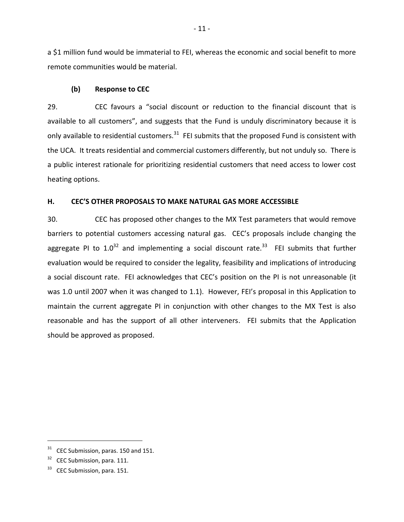a \$1 million fund would be immaterial to FEI, whereas the economic and social benefit to more remote communities would be material.

### <span id="page-13-0"></span>**(b) Response to CEC**

29. CEC favours a "social discount or reduction to the financial discount that is available to all customers", and suggests that the Fund is unduly discriminatory because it is only available to residential customers.<sup>31</sup> FEI submits that the proposed Fund is consistent with the UCA. It treats residential and commercial customers differently, but not unduly so. There is a public interest rationale for prioritizing residential customers that need access to lower cost heating options.

## <span id="page-13-1"></span>**H. CEC'S OTHER PROPOSALS TO MAKE NATURAL GAS MORE ACCESSIBLE**

30. CEC has proposed other changes to the MX Test parameters that would remove barriers to potential customers accessing natural gas. CEC's proposals include changing the aggregate PI to  $1.0^{32}$  and implementing a social discount rate.<sup>33</sup> FEI submits that further evaluation would be required to consider the legality, feasibility and implications of introducing a social discount rate. FEI acknowledges that CEC's position on the PI is not unreasonable (it was 1.0 until 2007 when it was changed to 1.1). However, FEI's proposal in this Application to maintain the current aggregate PI in conjunction with other changes to the MX Test is also reasonable and has the support of all other interveners. FEI submits that the Application should be approved as proposed.

 $31$  CEC Submission, paras. 150 and 151.

 $32$  CEC Submission, para. 111.

 $33$  CEC Submission, para. 151.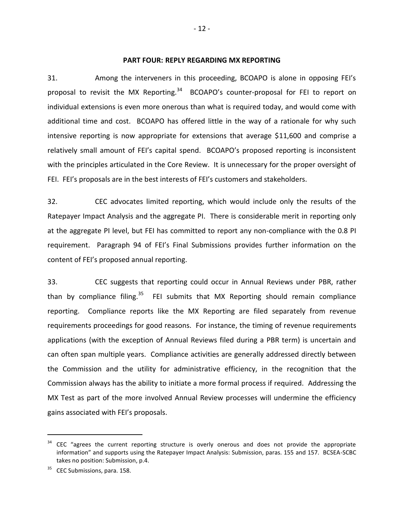#### **PART FOUR: REPLY REGARDING MX REPORTING**

<span id="page-14-0"></span>31. Among the interveners in this proceeding, BCOAPO is alone in opposing FEI's proposal to revisit the MX Reporting.<sup>34</sup> BCOAPO's counter-proposal for FEI to report on individual extensions is even more onerous than what is required today, and would come with additional time and cost. BCOAPO has offered little in the way of a rationale for why such intensive reporting is now appropriate for extensions that average \$11,600 and comprise a relatively small amount of FEI's capital spend. BCOAPO's proposed reporting is inconsistent with the principles articulated in the Core Review. It is unnecessary for the proper oversight of FEI. FEI's proposals are in the best interests of FEI's customers and stakeholders.

32. CEC advocates limited reporting, which would include only the results of the Ratepayer Impact Analysis and the aggregate PI. There is considerable merit in reporting only at the aggregate PI level, but FEI has committed to report any non-compliance with the 0.8 PI requirement. Paragraph 94 of FEI's Final Submissions provides further information on the content of FEI's proposed annual reporting.

33. CEC suggests that reporting could occur in Annual Reviews under PBR, rather than by compliance filing.<sup>35</sup> FEI submits that MX Reporting should remain compliance reporting. Compliance reports like the MX Reporting are filed separately from revenue requirements proceedings for good reasons. For instance, the timing of revenue requirements applications (with the exception of Annual Reviews filed during a PBR term) is uncertain and can often span multiple years. Compliance activities are generally addressed directly between the Commission and the utility for administrative efficiency, in the recognition that the Commission always has the ability to initiate a more formal process if required. Addressing the MX Test as part of the more involved Annual Review processes will undermine the efficiency gains associated with FEI's proposals.

CEC "agrees the current reporting structure is overly onerous and does not provide the appropriate information" and supports using the Ratepayer Impact Analysis: Submission, paras. 155 and 157. BCSEA-SCBC takes no position: Submission, p.4.

<sup>&</sup>lt;sup>35</sup> CEC Submissions, para. 158.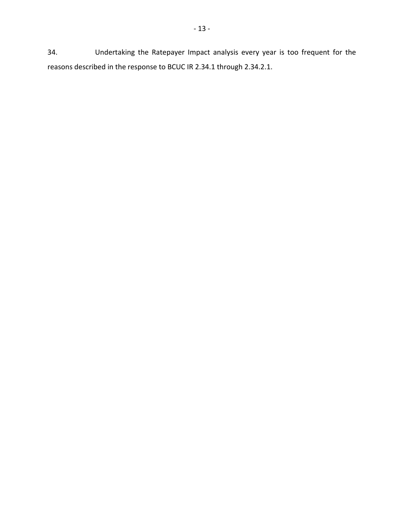34. Undertaking the Ratepayer Impact analysis every year is too frequent for the reasons described in the response to BCUC IR 2.34.1 through 2.34.2.1.